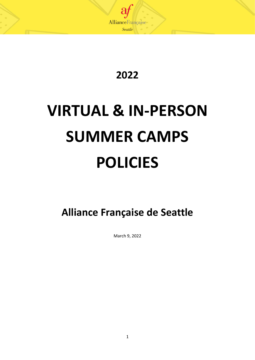

**2022**

# **VIRTUAL & IN-PERSON SUMMER CAMPS POLICIES**

**Alliance Française de Seattle**

March 9, 2022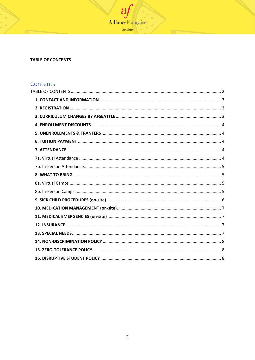

# <span id="page-1-0"></span>**TABLE OF CONTENTS**

# Contents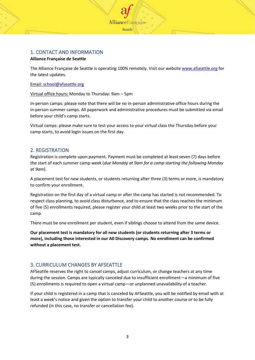

# <span id="page-2-0"></span>1. CONTACT AND INFORMATION

#### **Alliance Française de Seattle**

The Alliance Française de Seattle is operating 100% remotely. Visit our website [www.afseattle.org](http://www.afseattle.org/) for the latest updates.

#### Email: school@afseattle.org

Virtual office hours: Monday to Thursday: 9am – 5pm

In-person camps: please note that there will be no in-person administrative office hours during the in-person summer camps. All paperwork and administrative procedures must be submitted via email before your child's camp starts.

Virtual camps: please make sure to test your access to your virtual class the Thursday before your camp starts, to avoid login issues on the first day.

# <span id="page-2-1"></span>2. REGISTRATION

Registration is complete upon payment. Payment must be completed at least seven (7) days before the start of each summer camp week (*due Monday at 9am for a camp starting the following Monday at 9am*).

A placement test for new students, or students returning after three (3) terms or more, is mandatory to confirm your enrollment.

Registration on the first day of a virtual camp or after the camp has started is not recommended. To respect class planning, to avoid class disturbance, and to ensure that the class reaches the minimum of five (5) enrollments required, please register your child at least two weeks prior to the start of the camp.

There must be one enrollment per student, even if siblings choose to attend from the same device.

**Our placement test is mandatory for all new students (or students returning after 3 terms or more), including those interested in our A0 Discovery camps. No enrollment can be confirmed without a placement test.**

# <span id="page-2-2"></span>3. CURRICULUM CHANGES BY AFSEATTLE

AFSeattle reserves the right to cancel camps, adjust curriculum, or change teachers at any time during the session. Camps are typically canceled due to insufficient enrollment—a minimum of five (5) enrollments is required to open a virtual camp—or unplanned unavailability of a teacher.

If your child is registered in a camp that is canceled by AFSeattle, you will be notified by email with at least a week's notice and given the option to transfer your child to another course or to be fully refunded (in this case, no transfer or cancellation fee).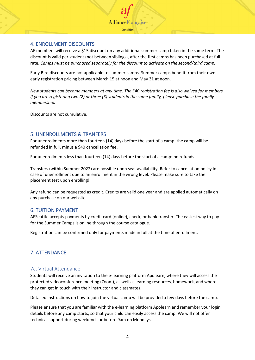

# <span id="page-3-0"></span>4. ENROLLMENT DISCOUNTS

AF members will receive a \$15 discount on any additional summer camp taken in the same term. The discount is valid per student (not between siblings), after the first camps has been purchased at full rate. *Camps must be purchased separately for the discount to activate on the second/third camp.* 

Early Bird discounts are not applicable to summer camps. Summer camps benefit from their own early registration pricing between March 15 at noon and May 31 at noon.

*New students can become members at any time. The \$40 registration fee is also waived for members. If you are registering two (2) or three (3) students in the same family, please purchase the family membership.*

Discounts are not cumulative.

# <span id="page-3-1"></span>5. UNENROLLMENTS & TRANFERS

For unenrollments more than fourteen (14) days before the start of a camp: the camp will be refunded in full, minus a \$40 cancellation fee.

For unenrollments less than fourteen (14) days before the start of a camp: no refunds.

Transfers (within Summer 2022) are possible upon seat availability. Refer to cancellation policy in case of unenrollment due to an enrollment in the wrong level. Please make sure to take the placement test upon enrolling!

Any refund can be requested as credit. Credits are valid one year and are applied automatically on any purchase on our website.

# <span id="page-3-2"></span>6. TUITION PAYMENT

AFSeattle accepts payments by credit card (online), check, or bank transfer. The easiest way to pay for the Summer Camps is online through the course catalogue.

Registration can be confirmed only for payments made in full at the time of enrollment.

# <span id="page-3-3"></span>7. ATTENDANCE

# <span id="page-3-4"></span>7a. Virtual Attendance

Students will receive an invitation to the e-learning platform Apolearn, where they will access the protected videoconference meeting (Zoom), as well as learning resources, homework, and where they can get in touch with their instructor and classmates.

Detailed instructions on how to join the virtual camp will be provided a few days before the camp.

Please ensure that you are familiar with the e-learning platform Apolearn and remember your login details before any camp starts, so that your child can easily access the camp. We will not offer technical support during weekends or before 9am on Mondays.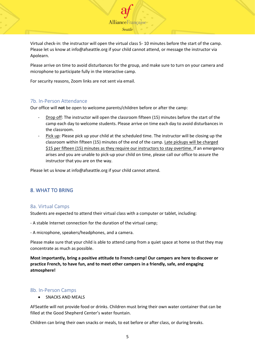Virtual check-in: the instructor will open the virtual class 5- 10 minutes before the start of the camp. Please let us know at info@afseattle.org if your child cannot attend, or message the instructor via Apolearn.

**AllianceFrancaise** Seattle

Please arrive on time to avoid disturbances for the group, and make sure to turn on your camera and microphone to participate fully in the interactive camp.

For security reasons, Zoom links are not sent via email.

#### <span id="page-4-0"></span>7b. In-Person Attendance

Our office will **not** be open to welcome parents/children before or after the camp:

- Drop off: The instructor will open the classroom fifteen (15) minutes before the start of the camp each day to welcome students. Please arrive on time each day to avoid disturbances in the classroom.
- Pick up: Please pick up your child at the scheduled time. The instructor will be closing up the classroom within fifteen (15) minutes of the end of the camp. Late pickups will be charged \$15 per fifteen (15) minutes as they require our instructors to stay overtime. If an emergency arises and you are unable to pick-up your child on time, please call our office to assure the instructor that you are on the way.

Please let us know at info@afseattle.org if your child cannot attend.

# <span id="page-4-1"></span>8. WHAT TO BRING

#### <span id="page-4-2"></span>8a. Virtual Camps

Students are expected to attend their virtual class with a computer or tablet, including:

- A stable Internet connection for the duration of the virtual camp;

- A microphone, speakers/headphones, and a camera.

Please make sure that your child is able to attend camp from a quiet space at home so that they may concentrate as much as possible.

**Most importantly, bring a positive attitude to French camp! Our campers are here to discover or practice French, to have fun, and to meet other campers in a friendly, safe, and engaging atmosphere!**

#### <span id="page-4-3"></span>8b. In-Person Camps

• SNACKS AND MEALS

AFSeattle will not provide food or drinks. Children must bring their own water container that can be filled at the Good Shepherd Center's water fountain.

Children can bring their own snacks or meals, to eat before or after class, or during breaks.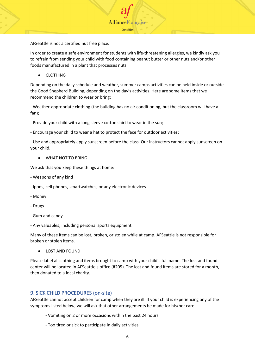

AFSeattle is not a certified nut free place.

In order to create a safe environment for students with life-threatening allergies, we kindly ask you to refrain from sending your child with food containing peanut butter or other nuts and/or other foods manufactured in a plant that processes nuts.

• CLOTHING

Depending on the daily schedule and weather, summer camps activities can be held inside or outside the Good Shepherd Building, depending on the day's activities. Here are some items that we recommend the children to wear or bring:

- Weather-appropriate clothing (the building has no air conditioning, but the classroom will have a fan);

- Provide your child with a long sleeve cotton shirt to wear in the sun;

- Encourage your child to wear a hat to protect the face for outdoor activities;

- Use and appropriately apply sunscreen before the class. Our instructors cannot apply sunscreen on your child.

• WHAT NOT TO BRING

We ask that you keep these things at home:

- Weapons of any kind
- Ipods, cell phones, smartwatches, or any electronic devices
- Money
- Drugs
- Gum and candy
- Any valuables, including personal sports equipment

Many of these items can be lost, broken, or stolen while at camp. AFSeattle is not responsible for broken or stolen items.

• LOST AND FOUND

Please label all clothing and items brought to camp with your child's full name. The lost and found center will be located in AFSeattle's office (#205). The lost and found items are stored for a month, then donated to a local charity.

#### <span id="page-5-0"></span>9. SICK CHILD PROCEDURES (on-site)

AFSeattle cannot accept children for camp when they are ill. If your child is experiencing any of the symptoms listed below, we will ask that other arrangements be made for his/her care.

- Vomiting on 2 or more occasions within the past 24 hours
- Too tired or sick to participate in daily activities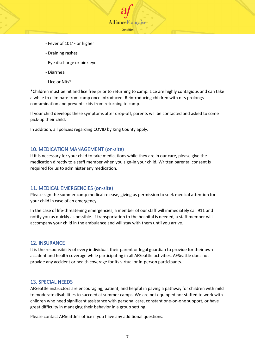- Fever of 101°F or higher
- Draining rashes
- Eye discharge or pink eye
- Diarrhea
- Lice or Nits\*

\*Children must be nit and lice free prior to returning to camp. Lice are highly contagious and can take a while to eliminate from camp once introduced. Reintroducing children with nits prolongs contamination and prevents kids from returning to camp.

**AllianceFrancaise** Seattle

If your child develops these symptoms after drop-off, parents will be contacted and asked to come pick-up their child.

In addition, all policies regarding COVID by King County apply.

## <span id="page-6-0"></span>10. MEDICATION MANAGEMENT (on-site)

If it is necessary for your child to take medications while they are in our care, please give the medication directly to a staff member when you sign-in your child. Written parental consent is required for us to administer any medication.

# <span id="page-6-1"></span>11. MEDICAL EMERGENCIES (on-site)

Please sign the summer camp medical release, giving us permission to seek medical attention for your child in case of an emergency.

In the case of life-threatening emergencies, a member of our staff will immediately call 911 and notify you as quickly as possible. If transportation to the hospital is needed, a staff member will accompany your child in the ambulance and will stay with them until you arrive.

#### <span id="page-6-2"></span>12. INSURANCE

It is the responsibility of every individual, their parent or legal guardian to provide for their own accident and health coverage while participating in all AFSeattle activities. AFSeattle does not provide any accident or health coverage for its virtual or in-person participants.

#### <span id="page-6-3"></span>13. SPECIAL NEEDS

AFSeattle instructors are encouraging, patient, and helpful in paving a pathway for children with mild to moderate disabilities to succeed at summer camps. We are not equipped nor staffed to work with children who need significant assistance with personal care, constant one-on-one support, or have great difficulty in managing their behavior in a group setting.

Please contact AFSeattle's office if you have any additional questions.